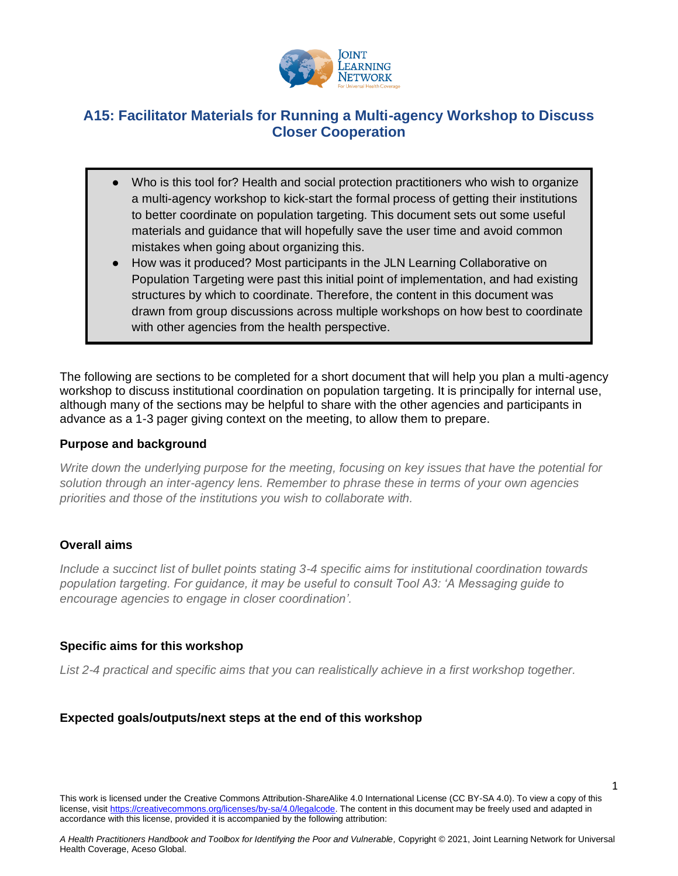

# **A15: Facilitator Materials for Running a Multi-agency Workshop to Discuss Closer Cooperation**

- Who is this tool for? Health and social protection practitioners who wish to organize a multi-agency workshop to kick-start the formal process of getting their institutions to better coordinate on population targeting. This document sets out some useful materials and guidance that will hopefully save the user time and avoid common mistakes when going about organizing this.
- How was it produced? Most participants in the JLN Learning Collaborative on Population Targeting were past this initial point of implementation, and had existing structures by which to coordinate. Therefore, the content in this document was drawn from group discussions across multiple workshops on how best to coordinate with other agencies from the health perspective.

The following are sections to be completed for a short document that will help you plan a multi-agency workshop to discuss institutional coordination on population targeting. It is principally for internal use, although many of the sections may be helpful to share with the other agencies and participants in advance as a 1-3 pager giving context on the meeting, to allow them to prepare.

#### **Purpose and background**

*Write down the underlying purpose for the meeting, focusing on key issues that have the potential for solution through an inter-agency lens. Remember to phrase these in terms of your own agencies priorities and those of the institutions you wish to collaborate with.*

#### **Overall aims**

*Include a succinct list of bullet points stating 3-4 specific aims for institutional coordination towards population targeting. For guidance, it may be useful to consult Tool A3: 'A Messaging guide to encourage agencies to engage in closer coordination'.*

#### **Specific aims for this workshop**

List 2-4 practical and specific aims that you can realistically achieve in a first workshop together.

#### **Expected goals/outputs/next steps at the end of this workshop**

This work is licensed under the Creative Commons Attribution-ShareAlike 4.0 International License (CC BY-SA 4.0). To view a copy of this license, visi[t https://creativecommons.org/licenses/by-sa/4.0/legalcode.](https://creativecommons.org/licenses/by-sa/4.0/legalcode) The content in this document may be freely used and adapted in accordance with this license, provided it is accompanied by the following attribution:

1

*A Health Practitioners Handbook and Toolbox for Identifying the Poor and Vulnerable,* Copyright © 2021, Joint Learning Network for Universal Health Coverage, Aceso Global.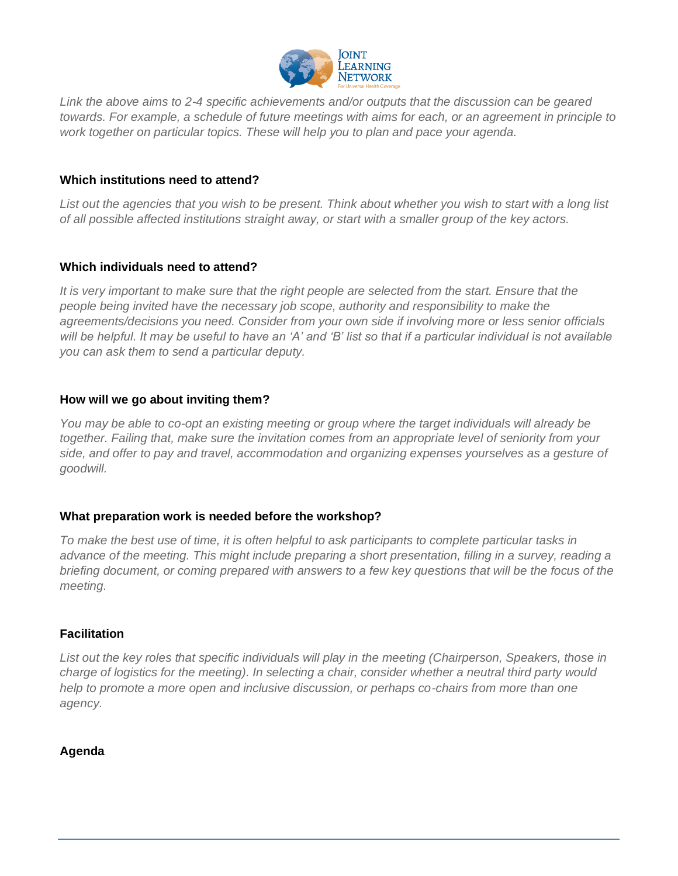

*Link the above aims to 2-4 specific achievements and/or outputs that the discussion can be geared towards. For example, a schedule of future meetings with aims for each, or an agreement in principle to work together on particular topics. These will help you to plan and pace your agenda.* 

## **Which institutions need to attend?**

*List out the agencies that you wish to be present. Think about whether you wish to start with a long list of all possible affected institutions straight away, or start with a smaller group of the key actors.* 

#### **Which individuals need to attend?**

It is very important to make sure that the right people are selected from the start. Ensure that the *people being invited have the necessary job scope, authority and responsibility to make the agreements/decisions you need. Consider from your own side if involving more or less senior officials will be helpful. It may be useful to have an 'A' and 'B' list so that if a particular individual is not available you can ask them to send a particular deputy.* 

## **How will we go about inviting them?**

*You may be able to co-opt an existing meeting or group where the target individuals will already be together. Failing that, make sure the invitation comes from an appropriate level of seniority from your side, and offer to pay and travel, accommodation and organizing expenses yourselves as a gesture of goodwill.* 

#### **What preparation work is needed before the workshop?**

*To make the best use of time, it is often helpful to ask participants to complete particular tasks in advance of the meeting. This might include preparing a short presentation, filling in a survey, reading a briefing document, or coming prepared with answers to a few key questions that will be the focus of the meeting.*

#### **Facilitation**

*List out the key roles that specific individuals will play in the meeting (Chairperson, Speakers, those in charge of logistics for the meeting). In selecting a chair, consider whether a neutral third party would help to promote a more open and inclusive discussion, or perhaps co-chairs from more than one agency.* 

#### **Agenda**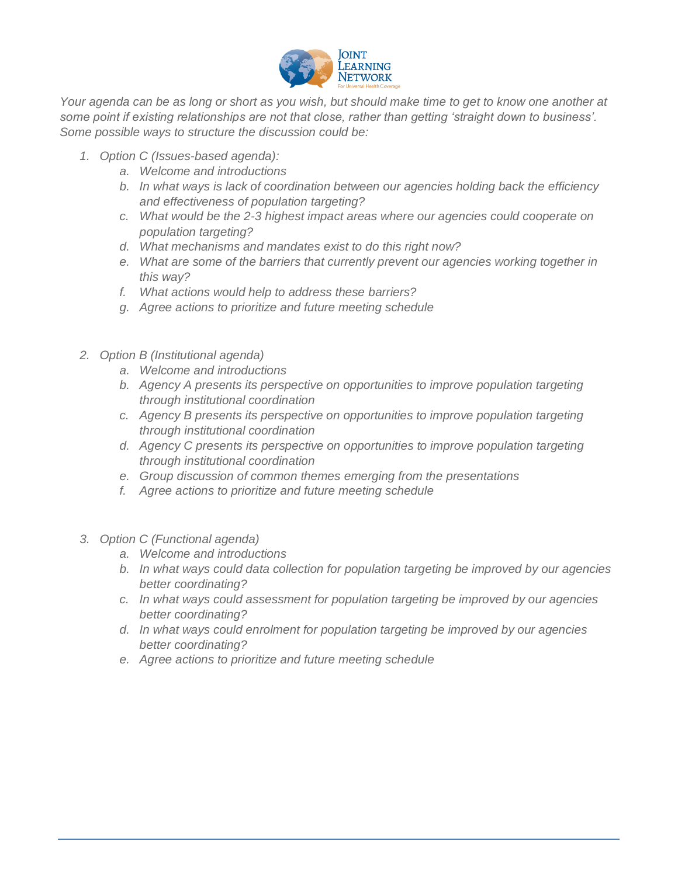

*Your agenda can be as long or short as you wish, but should make time to get to know one another at some point if existing relationships are not that close, rather than getting 'straight down to business'. Some possible ways to structure the discussion could be:*

- *1. Option C (Issues-based agenda):*
	- *a. Welcome and introductions*
	- *b. In what ways is lack of coordination between our agencies holding back the efficiency and effectiveness of population targeting?*
	- *c. What would be the 2-3 highest impact areas where our agencies could cooperate on population targeting?*
	- *d. What mechanisms and mandates exist to do this right now?*
	- *e. What are some of the barriers that currently prevent our agencies working together in this way?*
	- *f. What actions would help to address these barriers?*
	- *g. Agree actions to prioritize and future meeting schedule*
- *2. Option B (Institutional agenda)*
	- *a. Welcome and introductions*
	- *b. Agency A presents its perspective on opportunities to improve population targeting through institutional coordination*
	- *c. Agency B presents its perspective on opportunities to improve population targeting through institutional coordination*
	- *d. Agency C presents its perspective on opportunities to improve population targeting through institutional coordination*
	- *e. Group discussion of common themes emerging from the presentations*
	- *f. Agree actions to prioritize and future meeting schedule*
- *3. Option C (Functional agenda)*
	- *a. Welcome and introductions*
	- *b. In what ways could data collection for population targeting be improved by our agencies better coordinating?*
	- *c. In what ways could assessment for population targeting be improved by our agencies better coordinating?*
	- *d. In what ways could enrolment for population targeting be improved by our agencies better coordinating?*
	- *e. Agree actions to prioritize and future meeting schedule*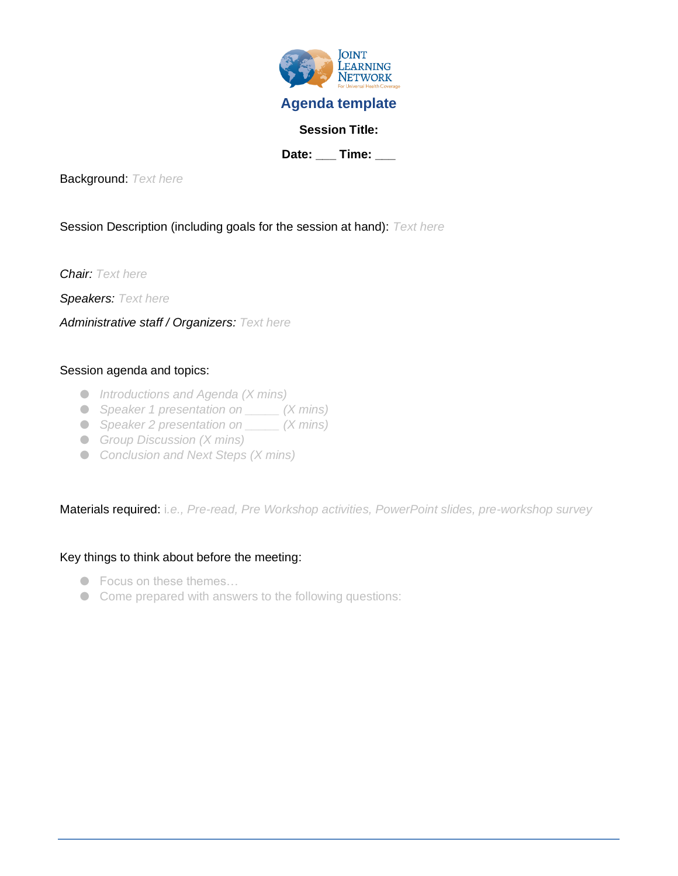

Background: *Text here*

#### Session Description (including goals for the session at hand): *Text here*

*Chair: Text here*

*Speakers: Text here*

*Administrative staff / Organizers: Text here*

#### Session agenda and topics:

- *Introductions and Agenda (X mins)*
- *Speaker 1 presentation on*  $\angle$  (*X mins*)
- *Speaker 2 presentation on*  $\angle$  *(X mins)*
- *Group Discussion (X mins)*
- *Conclusion and Next Steps (X mins)*

Materials required: i*.e., Pre-read, Pre Workshop activities, PowerPoint slides, pre-workshop survey*

#### Key things to think about before the meeting:

- Focus on these themes...
- Come prepared with answers to the following questions: